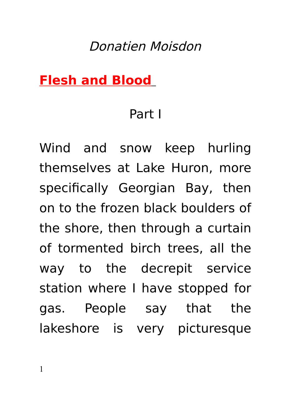## Donatien Moisdon

### **Flesh and Blood**

### Part I

Wind and snow keep hurling themselves at Lake Huron, more specifically Georgian Bay, then on to the frozen black boulders of the shore, then through a curtain of tormented birch trees, all the way to the decrepit service station where I have stopped for gas. People say that the lakeshore is very picturesque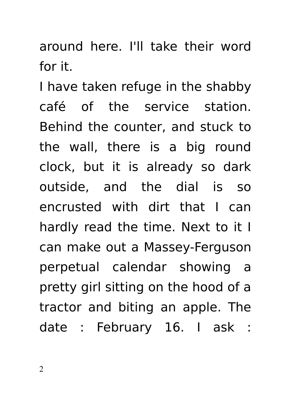around here. I'll take their word for it.

I have taken refuge in the shabby café of the service station. Behind the counter, and stuck to the wall, there is a big round clock, but it is already so dark outside, and the dial is so encrusted with dirt that I can hardly read the time. Next to it I can make out a Massey-Ferguson perpetual calendar showing a pretty girl sitting on the hood of a tractor and biting an apple. The date : February 16. I ask :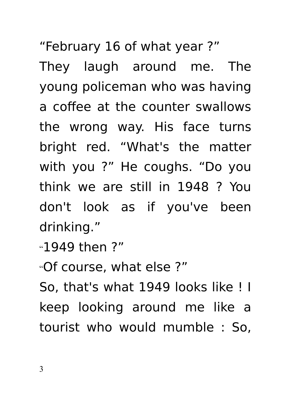"February 16 of what year ?"

They laugh around me. The young policeman who was having a coffee at the counter swallows the wrong way. His face turns bright red. "What's the matter with you ?" He coughs. "Do you think we are still in 1948 ? You don't look as if you've been drinking."

"1949 then ?"

"Of course, what else ?"

So, that's what 1949 looks like ! I keep looking around me like a tourist who would mumble : So,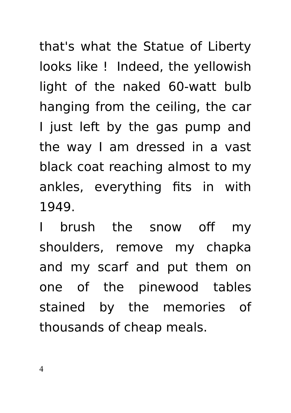that's what the Statue of Liberty looks like ! Indeed, the yellowish light of the naked 60-watt bulb hanging from the ceiling, the car I just left by the gas pump and the way I am dressed in a vast black coat reaching almost to my ankles, everything fits in with 1949.

I brush the snow off my shoulders, remove my chapka and my scarf and put them on one of the pinewood tables stained by the memories of thousands of cheap meals.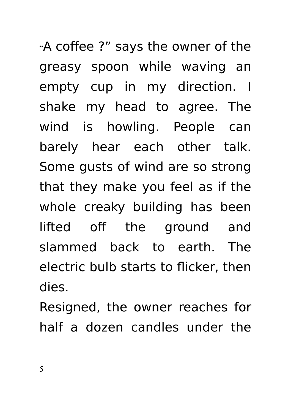"A coffee ?" says the owner of the greasy spoon while waving an empty cup in my direction. I shake my head to agree. The wind is howling. People can barely hear each other talk. Some gusts of wind are so strong that they make you feel as if the whole creaky building has been lifted off the ground and slammed back to earth. The electric bulb starts to flicker, then dies.

Resigned, the owner reaches for half a dozen candles under the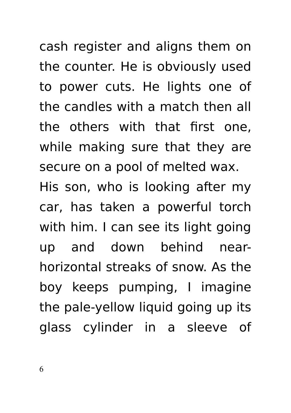cash register and aligns them on the counter. He is obviously used to power cuts. He lights one of the candles with a match then all the others with that first one, while making sure that they are secure on a pool of melted wax.

His son, who is looking after my car, has taken a powerful torch with him. I can see its light going up and down behind nearhorizontal streaks of snow. As the boy keeps pumping, I imagine the pale-yellow liquid going up its glass cylinder in a sleeve of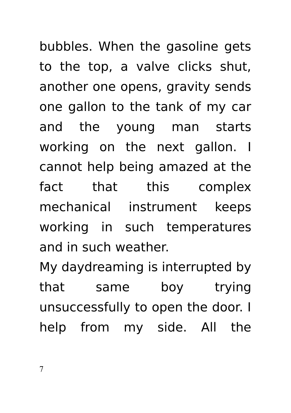bubbles. When the gasoline gets to the top, a valve clicks shut, another one opens, gravity sends one gallon to the tank of my car and the young man starts working on the next gallon. I cannot help being amazed at the fact that this complex mechanical instrument keeps working in such temperatures and in such weather.

My daydreaming is interrupted by that same boy trying unsuccessfully to open the door. I help from my side. All the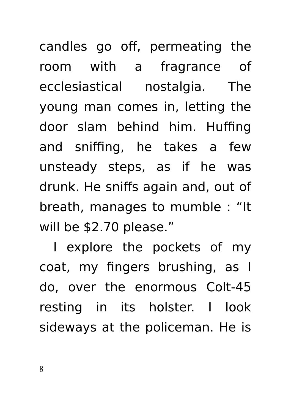candles go off, permeating the room with a fragrance of ecclesiastical nostalgia. The young man comes in, letting the door slam behind him. Huffing and sniffing, he takes a few unsteady steps, as if he was drunk. He sniffs again and, out of breath, manages to mumble : "It will be \$2.70 please."

I explore the pockets of my coat, my fingers brushing, as I do, over the enormous Colt-45 resting in its holster. I look sideways at the policeman. He is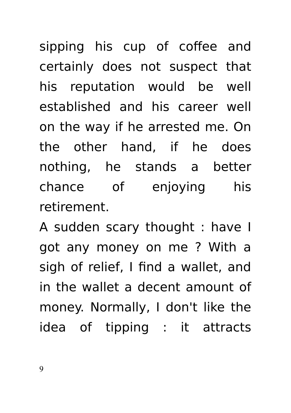sipping his cup of coffee and certainly does not suspect that his reputation would be well established and his career well on the way if he arrested me. On the other hand, if he does nothing, he stands a better chance of enjoying his retirement.

A sudden scary thought : have I got any money on me ? With a sigh of relief, I find a wallet, and in the wallet a decent amount of money. Normally, I don't like the idea of tipping : it attracts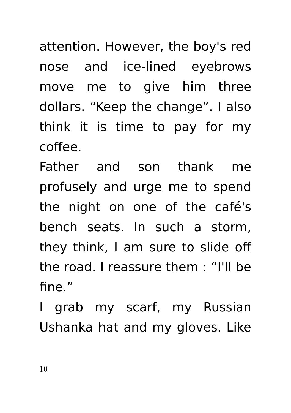attention. However, the boy's red nose and ice-lined eyebrows move me to give him three dollars. "Keep the change". I also think it is time to pay for my coffee.

Father and son thank me profusely and urge me to spend the night on one of the café's bench seats. In such a storm, they think, I am sure to slide off the road. I reassure them : "I'll be fine"

I grab my scarf, my Russian Ushanka hat and my gloves. Like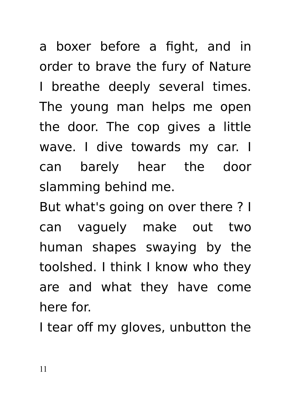a boxer before a fight, and in order to brave the fury of Nature I breathe deeply several times. The young man helps me open the door. The cop gives a little wave. I dive towards my car. I can barely hear the door slamming behind me.

But what's going on over there ? I can vaguely make out two human shapes swaying by the toolshed. I think I know who they are and what they have come here for.

I tear off my gloves, unbutton the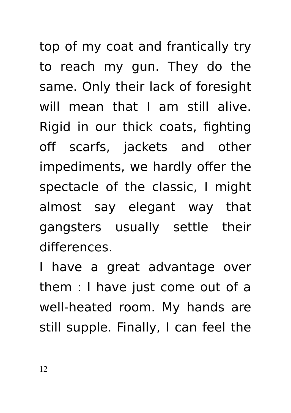top of my coat and frantically try to reach my gun. They do the same. Only their lack of foresight will mean that I am still alive. Rigid in our thick coats, fighting off scarfs, jackets and other impediments, we hardly offer the spectacle of the classic, I might almost say elegant way that gangsters usually settle their differences.

I have a great advantage over them : I have just come out of a well-heated room. My hands are still supple. Finally, I can feel the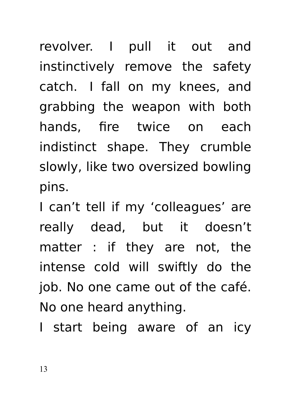revolver. I pull it out and instinctively remove the safety catch. I fall on my knees, and grabbing the weapon with both hands, fire twice on each indistinct shape. They crumble slowly, like two oversized bowling pins.

I can't tell if my 'colleagues' are really dead, but it doesn't matter : if they are not, the intense cold will swiftly do the job. No one came out of the café. No one heard anything.

I start being aware of an icy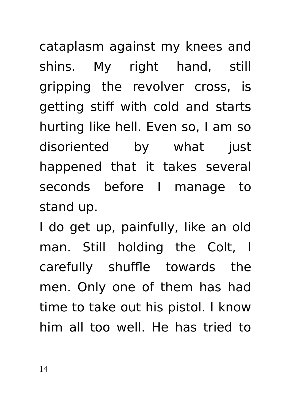cataplasm against my knees and shins. My right hand, still gripping the revolver cross, is getting stiff with cold and starts hurting like hell. Even so, I am so disoriented by what just happened that it takes several seconds before I manage to stand up.

I do get up, painfully, like an old man. Still holding the Colt, I carefully shuffle towards the men. Only one of them has had time to take out his pistol. I know him all too well. He has tried to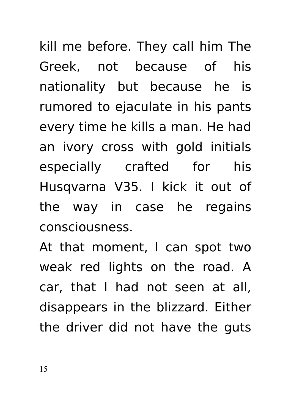kill me before. They call him The Greek, not because of his nationality but because he is rumored to ejaculate in his pants every time he kills a man. He had an ivory cross with gold initials especially crafted for his Husqvarna V35. I kick it out of the way in case he regains consciousness.

At that moment, I can spot two weak red lights on the road. A car, that I had not seen at all, disappears in the blizzard. Either the driver did not have the guts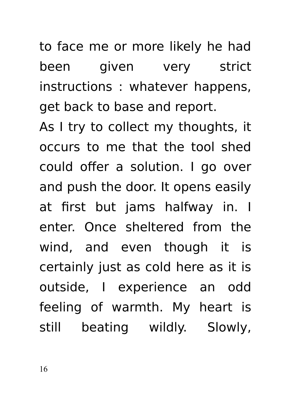to face me or more likely he had been given very strict instructions : whatever happens, get back to base and report.

As I try to collect my thoughts, it occurs to me that the tool shed could offer a solution. I go over and push the door. It opens easily at first but jams halfway in. I enter. Once sheltered from the wind, and even though it is certainly just as cold here as it is outside, I experience an odd feeling of warmth. My heart is still beating wildly. Slowly,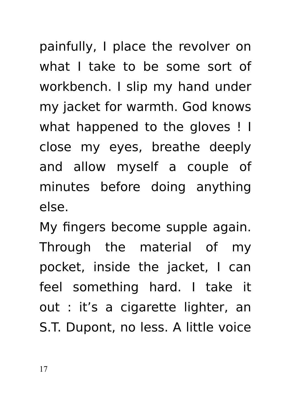painfully, I place the revolver on what I take to be some sort of workbench. I slip my hand under my jacket for warmth. God knows what happened to the gloves ! I close my eyes, breathe deeply and allow myself a couple of minutes before doing anything else.

My fingers become supple again. Through the material of my pocket, inside the jacket, I can feel something hard. I take it out : it's a cigarette lighter, an S.T. Dupont, no less. A little voice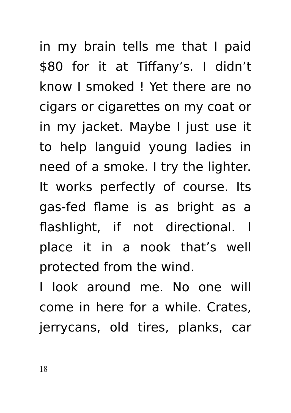in my brain tells me that I paid \$80 for it at Tiffany's. I didn't know I smoked ! Yet there are no cigars or cigarettes on my coat or in my jacket. Maybe I just use it to help languid young ladies in need of a smoke. I try the lighter. It works perfectly of course. Its gas-fed flame is as bright as a flashlight, if not directional. I place it in a nook that's well protected from the wind.

I look around me. No one will come in here for a while. Crates, jerrycans, old tires, planks, car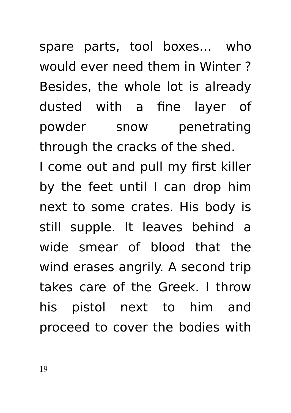spare parts, tool boxes… who would ever need them in Winter ? Besides, the whole lot is already dusted with a fine layer of powder snow penetrating through the cracks of the shed.

I come out and pull my first killer by the feet until I can drop him next to some crates. His body is still supple. It leaves behind a wide smear of blood that the wind erases angrily. A second trip takes care of the Greek. I throw his pistol next to him and proceed to cover the bodies with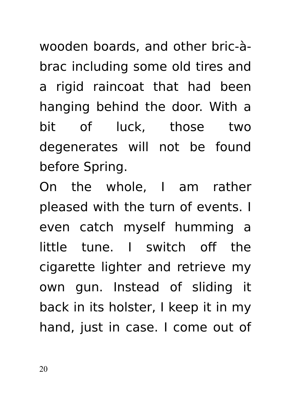wooden boards, and other bric-àbrac including some old tires and a rigid raincoat that had been hanging behind the door. With a bit of luck, those two degenerates will not be found before Spring.

On the whole, I am rather pleased with the turn of events. I even catch myself humming a little tune. I switch off the cigarette lighter and retrieve my own gun. Instead of sliding it back in its holster, I keep it in my hand, just in case. I come out of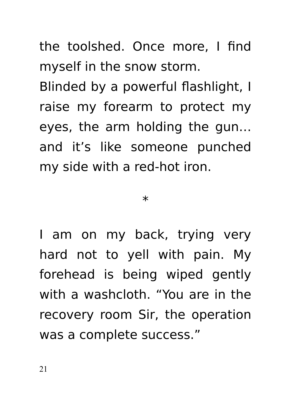the toolshed. Once more, I find myself in the snow storm. Blinded by a powerful flashlight, I raise my forearm to protect my eyes, the arm holding the gun… and it's like someone punched my side with a red-hot iron.

#### \*

I am on my back, trying very hard not to yell with pain. My forehead is being wiped gently with a washcloth. "You are in the recovery room Sir, the operation was a complete success."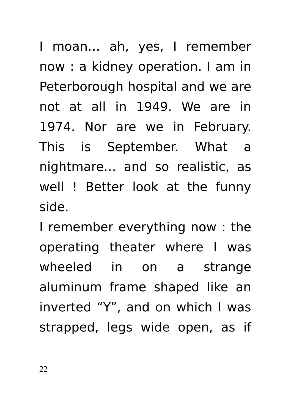I moan… ah, yes, I remember now : a kidney operation. I am in Peterborough hospital and we are not at all in 1949. We are in 1974. Nor are we in February. This is September. What a nightmare… and so realistic, as well ! Better look at the funny side.

I remember everything now : the operating theater where I was wheeled in on a strange aluminum frame shaped like an inverted "Y", and on which I was strapped, legs wide open, as if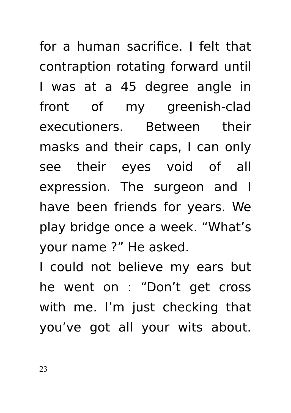for a human sacrifice. I felt that contraption rotating forward until I was at a 45 degree angle in front of my greenish-clad executioners. Between their masks and their caps, I can only see their eyes void of all expression. The surgeon and I have been friends for years. We play bridge once a week. "What's your name ?" He asked.

I could not believe my ears but he went on : "Don't get cross with me. I'm just checking that you've got all your wits about.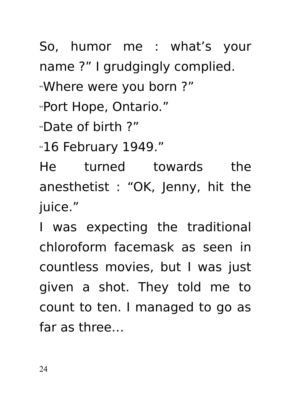So, humor me : what's your name ?" I grudgingly complied.

"Where were you born ?"

"Port Hope, Ontario."

"Date of birth ?"

"16 February 1949."

He turned towards the anesthetist : "OK, Jenny, hit the juice."

I was expecting the traditional chloroform facemask as seen in countless movies, but I was just given a shot. They told me to count to ten. I managed to go as far as three…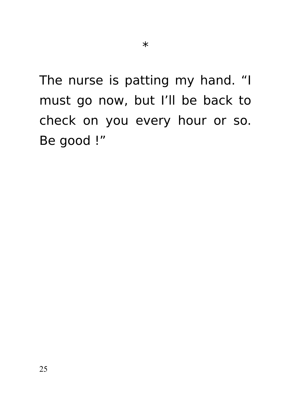The nurse is patting my hand. "I must go now, but I'll be back to check on you every hour or so. Be good !"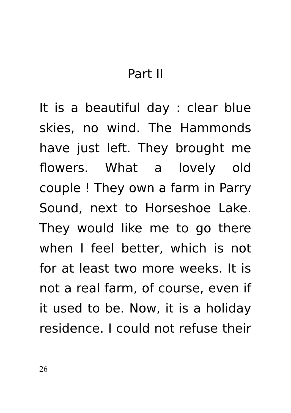# Part II

It is a beautiful day : clear blue skies, no wind. The Hammonds have just left. They brought me flowers. What a lovely old couple ! They own a farm in Parry Sound, next to Horseshoe Lake. They would like me to go there when I feel better, which is not for at least two more weeks. It is not a real farm, of course, even if it used to be. Now, it is a holiday residence. I could not refuse their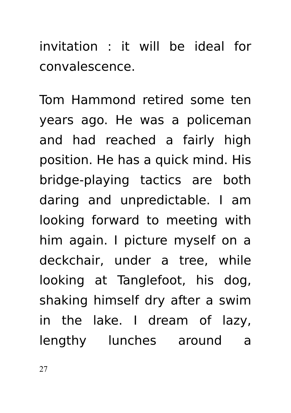invitation : it will be ideal for convalescence.

Tom Hammond retired some ten years ago. He was a policeman and had reached a fairly high position. He has a quick mind. His bridge-playing tactics are both daring and unpredictable. I am looking forward to meeting with him again. I picture myself on a deckchair, under a tree, while looking at Tanglefoot, his dog, shaking himself dry after a swim in the lake. I dream of lazy, lengthy lunches around a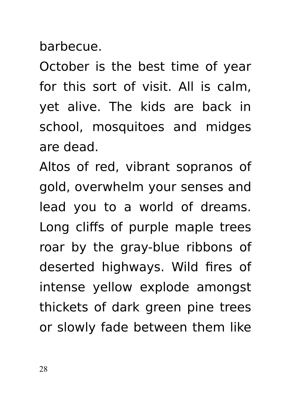barbecue.

October is the best time of year for this sort of visit. All is calm, yet alive. The kids are back in school, mosquitoes and midges are dead.

Altos of red, vibrant sopranos of gold, overwhelm your senses and lead you to a world of dreams. Long cliffs of purple maple trees roar by the gray-blue ribbons of deserted highways. Wild fires of intense yellow explode amongst thickets of dark green pine trees or slowly fade between them like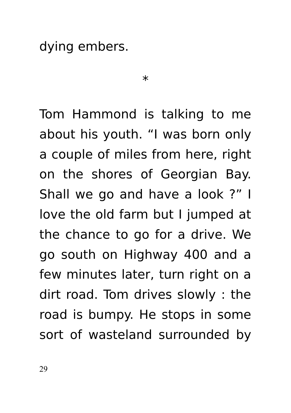dying embers.

 $\ast$ 

Tom Hammond is talking to me about his youth. "I was born only a couple of miles from here, right on the shores of Georgian Bay. Shall we go and have a look ?" I love the old farm but I jumped at the chance to go for a drive. We go south on Highway 400 and a few minutes later, turn right on a dirt road. Tom drives slowly : the road is bumpy. He stops in some sort of wasteland surrounded by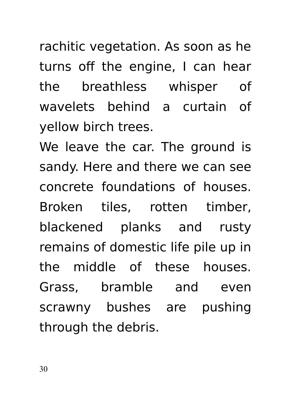rachitic vegetation. As soon as he turns off the engine, I can hear the breathless whisper of wavelets behind a curtain of yellow birch trees.

We leave the car. The ground is sandy. Here and there we can see concrete foundations of houses. Broken tiles, rotten timber, blackened planks and rusty remains of domestic life pile up in the middle of these houses. Grass, bramble and even scrawny bushes are pushing through the debris.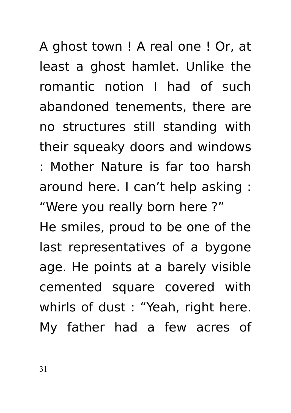A ghost town ! A real one ! Or, at least a ghost hamlet. Unlike the romantic notion I had of such abandoned tenements, there are no structures still standing with their squeaky doors and windows : Mother Nature is far too harsh around here. I can't help asking : "Were you really born here ?"

He smiles, proud to be one of the last representatives of a bygone age. He points at a barely visible cemented square covered with whirls of dust : "Yeah, right here. My father had a few acres of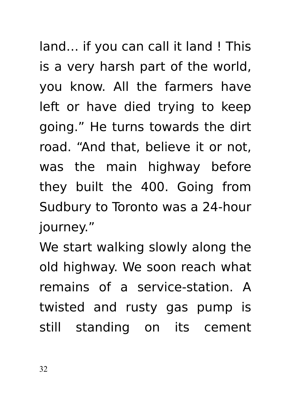land… if you can call it land ! This is a very harsh part of the world, you know. All the farmers have left or have died trying to keep going." He turns towards the dirt road. "And that, believe it or not, was the main highway before they built the 400. Going from Sudbury to Toronto was a 24-hour journey."

We start walking slowly along the old highway. We soon reach what remains of a service-station. A twisted and rusty gas pump is still standing on its cement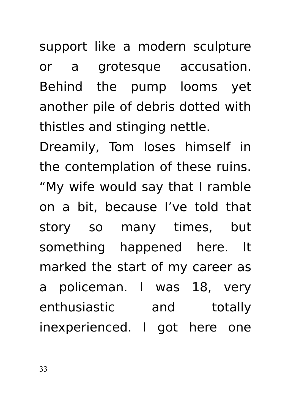support like a modern sculpture or a grotesque accusation. Behind the pump looms yet another pile of debris dotted with thistles and stinging nettle.

Dreamily, Tom loses himself in the contemplation of these ruins. "My wife would say that I ramble on a bit, because I've told that story so many times, but something happened here. It marked the start of my career as a policeman. I was 18, very enthusiastic and totally inexperienced. I got here one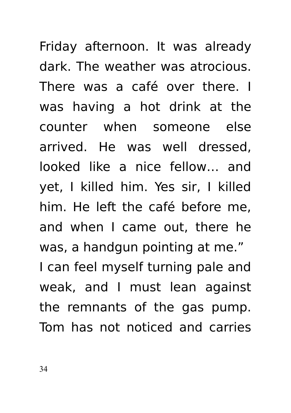Friday afternoon. It was already dark. The weather was atrocious. There was a café over there. I was having a hot drink at the counter when someone else arrived. He was well dressed, looked like a nice fellow… and yet, I killed him. Yes sir, I killed him. He left the café before me, and when I came out, there he was, a handgun pointing at me." I can feel myself turning pale and weak, and I must lean against the remnants of the gas pump. Tom has not noticed and carries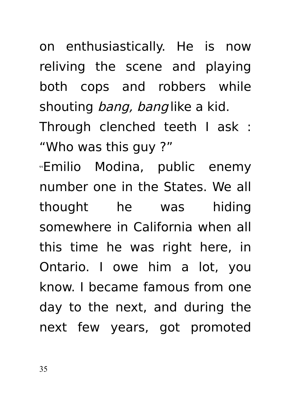on enthusiastically. He is now reliving the scene and playing both cops and robbers while shouting *bang, bang* like a kid. Through clenched teeth I ask : "Who was this guy ?" "Emilio Modina, public enemy

number one in the States. We all thought he was hiding somewhere in California when all this time he was right here, in Ontario. I owe him a lot, you know. I became famous from one day to the next, and during the next few years, got promoted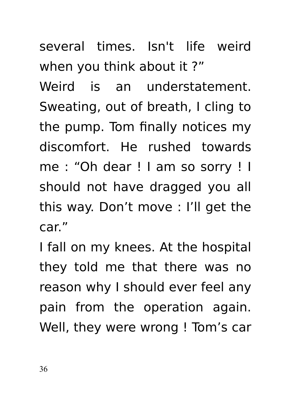several times. Isn't life weird when you think about it ?"

Weird is an understatement. Sweating, out of breath, I cling to the pump. Tom finally notices my discomfort. He rushed towards me : "Oh dear ! I am so sorry ! I should not have dragged you all this way. Don't move : I'll get the car."

I fall on my knees. At the hospital they told me that there was no reason why I should ever feel any pain from the operation again. Well, they were wrong ! Tom's car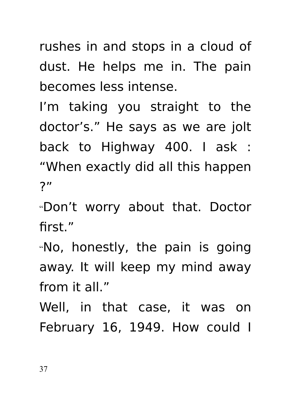rushes in and stops in a cloud of dust. He helps me in. The pain becomes less intense.

I'm taking you straight to the doctor's." He says as we are jolt back to Highway 400. I ask : "When exactly did all this happen ?"

"Don't worry about that. Doctor first."

"No, honestly, the pain is going away. It will keep my mind away from it all "

Well, in that case, it was on February 16, 1949. How could I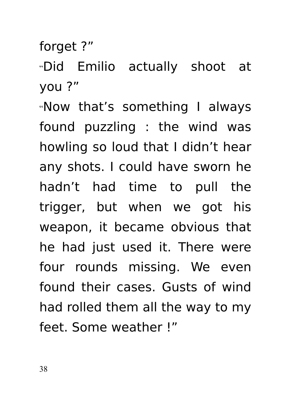forget ?"

"Did Emilio actually shoot at you ?"

"Now that's something I always found puzzling : the wind was howling so loud that I didn't hear any shots. I could have sworn he hadn't had time to pull the trigger, but when we got his weapon, it became obvious that he had just used it. There were four rounds missing. We even found their cases. Gusts of wind had rolled them all the way to my feet. Some weather !"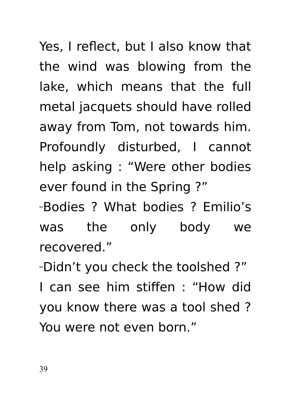Yes, I reflect, but I also know that the wind was blowing from the lake, which means that the full metal jacquets should have rolled away from Tom, not towards him. Profoundly disturbed, I cannot help asking : "Were other bodies ever found in the Spring ?"

"Bodies ? What bodies ? Emilio's was the only body we recovered."

"Didn't you check the toolshed ?" I can see him stiffen : "How did you know there was a tool shed ? You were not even born."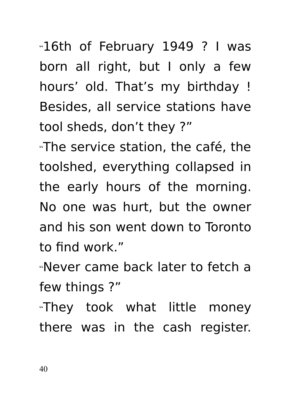"They took what little money there was in the cash register.

"Never came back later to fetch a few things ?"

toolshed, everything collapsed in the early hours of the morning. No one was hurt, but the owner and his son went down to Toronto to find work."

tool sheds, don't they ?"

"16th of February 1949 ? I was born all right, but I only a few hours' old. That's my birthday ! Besides, all service stations have

"The service station, the café, the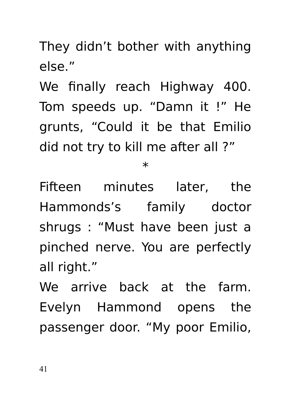They didn't bother with anything else."

We finally reach Highway 400. Tom speeds up. "Damn it !" He grunts, "Could it be that Emilio did not try to kill me after all ?"

 $\ast$ 

Fifteen minutes later, the Hammonds's family doctor shrugs : "Must have been just a pinched nerve. You are perfectly all right."

We arrive back at the farm. Evelyn Hammond opens the passenger door. "My poor Emilio,